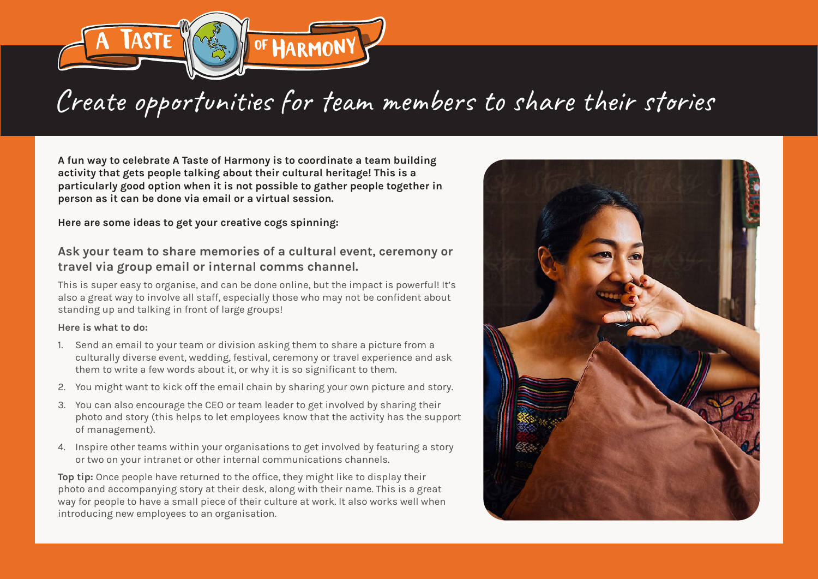

## Create opportunities for team members to share their stories

**A fun way to celebrate A Taste of Harmony is to coordinate a team building activity that gets people talking about their cultural heritage! This is a particularly good option when it is not possible to gather people together in person as it can be done via email or a virtual session.**

**Here are some ideas to get your creative cogs spinning:**

## **Ask your team to share memories of a cultural event, ceremony or travel via group email or internal comms channel.**

This is super easy to organise, and can be done online, but the impact is powerful! It's also a great way to involve all staff, especially those who may not be confident about standing up and talking in front of large groups!

## **Here is what to do:**

- 1. Send an email to your team or division asking them to share a picture from a culturally diverse event, wedding, festival, ceremony or travel experience and ask them to write a few words about it, or why it is so significant to them.
- 2. You might want to kick off the email chain by sharing your own picture and story.
- 3. You can also encourage the CEO or team leader to get involved by sharing their photo and story (this helps to let employees know that the activity has the support of management).
- 4. Inspire other teams within your organisations to get involved by featuring a story or two on your intranet or other internal communications channels.

**Top tip:** Once people have returned to the office, they might like to display their photo and accompanying story at their desk, along with their name. This is a great way for people to have a small piece of their culture at work. It also works well when introducing new employees to an organisation.